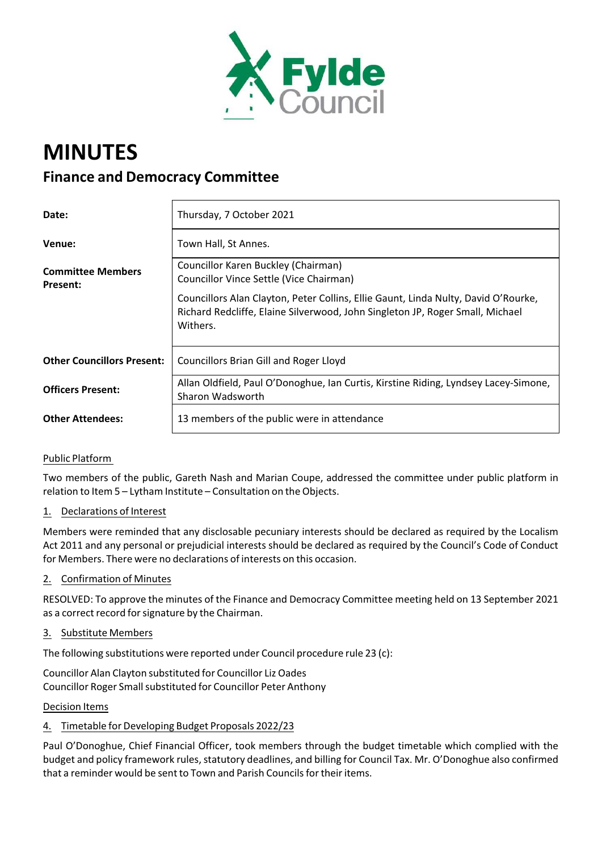

# **MINUTES Finance and Democracy Committee**

| Date:                                | Thursday, 7 October 2021                                                                                                                                                        |
|--------------------------------------|---------------------------------------------------------------------------------------------------------------------------------------------------------------------------------|
| Venue:                               | Town Hall, St Annes.                                                                                                                                                            |
| <b>Committee Members</b><br>Present: | Councillor Karen Buckley (Chairman)<br>Councillor Vince Settle (Vice Chairman)                                                                                                  |
|                                      | Councillors Alan Clayton, Peter Collins, Ellie Gaunt, Linda Nulty, David O'Rourke,<br>Richard Redcliffe, Elaine Silverwood, John Singleton JP, Roger Small, Michael<br>Withers. |
| <b>Other Councillors Present:</b>    | <b>Councillors Brian Gill and Roger Lloyd</b>                                                                                                                                   |
| <b>Officers Present:</b>             | Allan Oldfield, Paul O'Donoghue, Ian Curtis, Kirstine Riding, Lyndsey Lacey-Simone,<br>Sharon Wadsworth                                                                         |
| <b>Other Attendees:</b>              | 13 members of the public were in attendance                                                                                                                                     |

# Public Platform

Two members of the public, Gareth Nash and Marian Coupe, addressed the committee under public platform in relation to Item 5 – Lytham Institute – Consultation on the Objects.

# 1. Declarations of Interest

Members were reminded that any disclosable pecuniary interests should be declared as required by the Localism Act 2011 and any personal or prejudicial interests should be declared as required by the Council's Code of Conduct for Members. There were no declarations of interests on this occasion.

# 2. Confirmation of Minutes

RESOLVED: To approve the minutes of the Finance and Democracy Committee meeting held on 13 September 2021 as a correct record for signature by the Chairman.

# 3. Substitute Members

The following substitutions were reported under Council procedure rule 23 (c):

Councillor Alan Clayton substituted for Councillor Liz Oades Councillor Roger Small substituted for Councillor Peter Anthony

Decision Items

# 4. Timetable for Developing Budget Proposals 2022/23

Paul O'Donoghue, Chief Financial Officer, took members through the budget timetable which complied with the budget and policy framework rules, statutory deadlines, and billing for Council Tax. Mr. O'Donoghue also confirmed that a reminder would be sent to Town and Parish Councils for their items.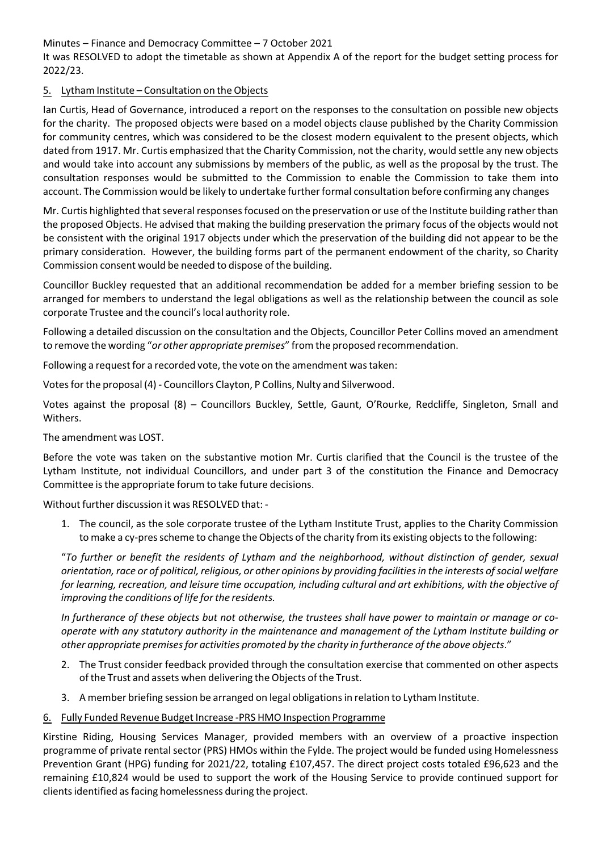Minutes – Finance and Democracy Committee – 7 October 2021

It was RESOLVED to adopt the timetable as shown at Appendix A of the report for the budget setting process for 2022/23.

# 5. Lytham Institute – Consultation on the Objects

Ian Curtis, Head of Governance, introduced a report on the responses to the consultation on possible new objects for the charity. The proposed objects were based on a model objects clause published by the Charity Commission for community centres, which was considered to be the closest modern equivalent to the present objects, which dated from 1917. Mr. Curtis emphasized that the Charity Commission, not the charity, would settle any new objects and would take into account any submissions by members of the public, as well as the proposal by the trust. The consultation responses would be submitted to the Commission to enable the Commission to take them into account. The Commission would be likely to undertake further formal consultation before confirming any changes

Mr. Curtis highlighted that several responses focused on the preservation or use of the Institute building rather than the proposed Objects. He advised that making the building preservation the primary focus of the objects would not be consistent with the original 1917 objects under which the preservation of the building did not appear to be the primary consideration. However, the building forms part of the permanent endowment of the charity, so Charity Commission consent would be needed to dispose of the building.

Councillor Buckley requested that an additional recommendation be added for a member briefing session to be arranged for members to understand the legal obligations as well as the relationship between the council as sole corporate Trustee and the council'slocal authority role.

Following a detailed discussion on the consultation and the Objects, Councillor Peter Collins moved an amendment to remove the wording "*or other appropriate premises*" from the proposed recommendation.

Following a request for a recorded vote, the vote on the amendment was taken:

Votes for the proposal (4) - Councillors Clayton, P Collins, Nulty and Silverwood.

Votes against the proposal (8) – Councillors Buckley, Settle, Gaunt, O'Rourke, Redcliffe, Singleton, Small and Withers.

The amendment was LOST.

Before the vote was taken on the substantive motion Mr. Curtis clarified that the Council is the trustee of the Lytham Institute, not individual Councillors, and under part 3 of the constitution the Finance and Democracy Committee isthe appropriate forum to take future decisions.

Without further discussion it was RESOLVED that: ‐

1. The council, as the sole corporate trustee of the Lytham Institute Trust, applies to the Charity Commission to make a cy-pres scheme to change the Objects of the charity from its existing objects to the following:

"*To further or benefit the residents of Lytham and the neighborhood, without distinction of gender, sexual* orientation, race or of political, religious, or other opinions by providing facilities in the interests of social welfare for learning, recreation, and leisure time occupation, including cultural and art exhibitions, with the objective of *improving the conditions of life for the residents.*

In furtherance of these objects but not otherwise, the trustees shall have power to maintain or manage or co*operate with any statutory authority in the maintenance and management of the Lytham Institute building or other appropriate premisesfor activities promoted by the charity in furtherance of the above objects*."

- 2. The Trust consider feedback provided through the consultation exercise that commented on other aspects of the Trust and assets when delivering the Objects of the Trust.
- 3. A member briefing session be arranged on legal obligationsin relation to Lytham Institute.
- 6. Fully Funded Revenue Budget Increase ‐PRS HMO Inspection Programme

Kirstine Riding, Housing Services Manager, provided members with an overview of a proactive inspection programme of private rental sector (PRS) HMOs within the Fylde. The project would be funded using Homelessness Prevention Grant (HPG) funding for 2021/22, totaling £107,457. The direct project costs totaled £96,623 and the remaining £10,824 would be used to support the work of the Housing Service to provide continued support for clientsidentified asfacing homelessness during the project.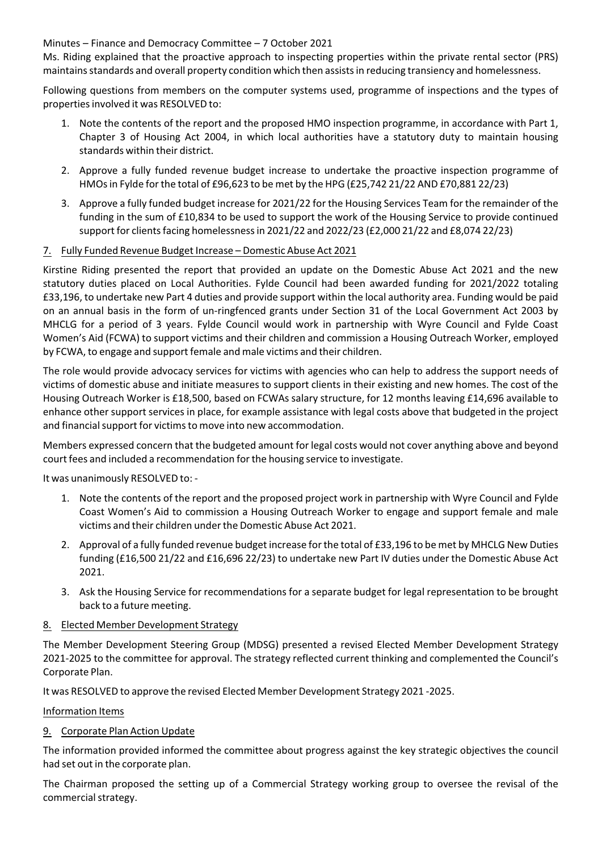Minutes – Finance and Democracy Committee – 7 October 2021

Ms. Riding explained that the proactive approach to inspecting properties within the private rental sector (PRS) maintainsstandards and overall property condition which then assistsin reducing transiency and homelessness.

Following questions from members on the computer systems used, programme of inspections and the types of properties involved it was RESOLVED to:

- 1. Note the contents of the report and the proposed HMO inspection programme, in accordance with Part 1, Chapter 3 of Housing Act 2004, in which local authorities have a statutory duty to maintain housing standards within their district.
- 2. Approve a fully funded revenue budget increase to undertake the proactive inspection programme of HMOsin Fylde forthe total of £96,623 to be met by the HPG (£25,742 21/22 AND £70,881 22/23)
- 3. Approve a fully funded budget increase for 2021/22 for the Housing Services Team for the remainder of the funding in the sum of £10,834 to be used to support the work of the Housing Service to provide continued support for clients facing homelessness in 2021/22 and 2022/23 (£2,000 21/22 and £8,074 22/23)

## 7. Fully Funded Revenue Budget Increase – Domestic Abuse Act 2021

Kirstine Riding presented the report that provided an update on the Domestic Abuse Act 2021 and the new statutory duties placed on Local Authorities. Fylde Council had been awarded funding for 2021/2022 totaling £33,196, to undertake new Part 4 duties and provide support within the local authority area. Funding would be paid on an annual basis in the form of un‐ringfenced grants under Section 31 of the Local Government Act 2003 by MHCLG for a period of 3 years. Fylde Council would work in partnership with Wyre Council and Fylde Coast Women's Aid (FCWA) to support victims and their children and commission a Housing Outreach Worker, employed by FCWA, to engage and support female and male victims and their children.

The role would provide advocacy services for victims with agencies who can help to address the support needs of victims of domestic abuse and initiate measures to support clients in their existing and new homes. The cost of the Housing Outreach Worker is £18,500, based on FCWAs salary structure, for 12 months leaving £14,696 available to enhance other support services in place, for example assistance with legal costs above that budgeted in the project and financial support for victims to move into new accommodation.

Members expressed concern that the budgeted amount for legal costs would not cover anything above and beyond court fees and included a recommendation forthe housing service to investigate.

It was unanimously RESOLVED to: ‐

- 1. Note the contents of the report and the proposed project work in partnership with Wyre Council and Fylde Coast Women's Aid to commission a Housing Outreach Worker to engage and support female and male victims and their children underthe Domestic Abuse Act 2021.
- 2. Approval of a fully funded revenue budget increase for the total of £33,196 to be met by MHCLG New Duties funding (£16,500 21/22 and £16,696 22/23) to undertake new Part IV duties under the Domestic Abuse Act 2021.
- 3. Ask the Housing Service for recommendations for a separate budget for legal representation to be brought back to a future meeting.

#### 8. Elected Member Development Strategy

The Member Development Steering Group (MDSG) presented a revised Elected Member Development Strategy 2021‐2025 to the committee for approval. The strategy reflected current thinking and complemented the Council's Corporate Plan.

It was RESOLVED to approve the revised Elected Member Development Strategy 2021 ‐2025.

#### Information Items

# 9. Corporate Plan Action Update

The information provided informed the committee about progress against the key strategic objectives the council had set out in the corporate plan.

The Chairman proposed the setting up of a Commercial Strategy working group to oversee the revisal of the commercial strategy.